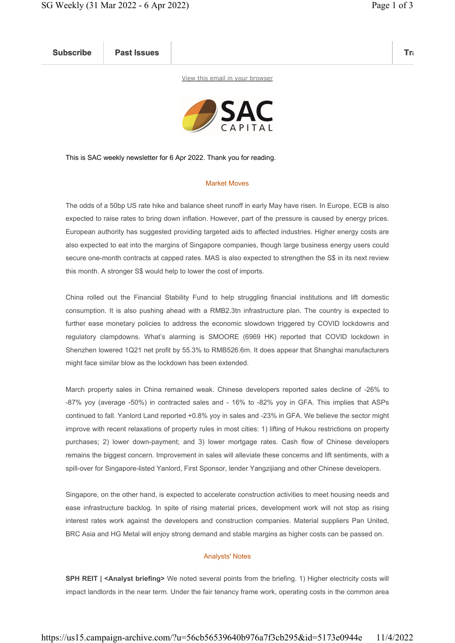Subscribe Past Issues Translate Past Issues Translate Past Issue Inc. 2014 and 2014 and 2014 and 2014 and 2014

View this email in your browser



This is SAC weekly newsletter for 6 Apr 2022. Thank you for reading.

## Market Moves

The odds of a 50bp US rate hike and balance sheet runoff in early May have risen. In Europe, ECB is also expected to raise rates to bring down inflation. However, part of the pressure is caused by energy prices. European authority has suggested providing targeted aids to affected industries. Higher energy costs are also expected to eat into the margins of Singapore companies, though large business energy users could secure one-month contracts at capped rates. MAS is also expected to strengthen the S\$ in its next review this month. A stronger S\$ would help to lower the cost of imports.

China rolled out the Financial Stability Fund to help struggling financial institutions and lift domestic consumption. It is also pushing ahead with a RMB2.3tn infrastructure plan. The country is expected to further ease monetary policies to address the economic slowdown triggered by COVID lockdowns and regulatory clampdowns. What's alarming is SMOORE (6969 HK) reported that COVID lockdown in Shenzhen lowered 1Q21 net profit by 55.3% to RMB526.6m. It does appear that Shanghai manufacturers might face similar blow as the lockdown has been extended.

March property sales in China remained weak. Chinese developers reported sales decline of -26% to -87% yoy (average -50%) in contracted sales and - 16% to -82% yoy in GFA. This implies that ASPs continued to fall. Yanlord Land reported +0.8% yoy in sales and -23% in GFA. We believe the sector might improve with recent relaxations of property rules in most cities: 1) lifting of Hukou restrictions on property purchases; 2) lower down-payment; and 3) lower mortgage rates. Cash flow of Chinese developers remains the biggest concern. Improvement in sales will alleviate these concerns and lift sentiments, with a spill-over for Singapore-listed Yanlord, First Sponsor, lender Yangzijiang and other Chinese developers.

Singapore, on the other hand, is expected to accelerate construction activities to meet housing needs and ease infrastructure backlog. In spite of rising material prices, development work will not stop as rising interest rates work against the developers and construction companies. Material suppliers Pan United, BRC Asia and HG Metal will enjoy strong demand and stable margins as higher costs can be passed on.

## Analysts' Notes

SPH REIT | <Analyst briefing> We noted several points from the briefing. 1) Higher electricity costs will impact landlords in the near term. Under the fair tenancy frame work, operating costs in the common area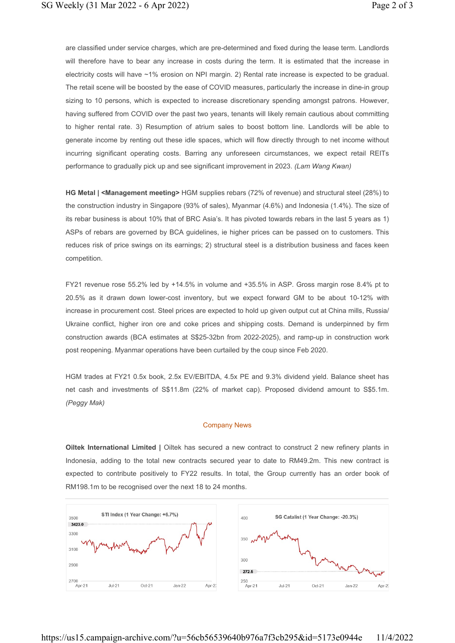are classified under service charges, which are pre-determined and fixed during the lease term. Landlords will therefore have to bear any increase in costs during the term. It is estimated that the increase in electricity costs will have ~1% erosion on NPI margin. 2) Rental rate increase is expected to be gradual. The retail scene will be boosted by the ease of COVID measures, particularly the increase in dine-in group sizing to 10 persons, which is expected to increase discretionary spending amongst patrons. However, having suffered from COVID over the past two years, tenants will likely remain cautious about committing to higher rental rate. 3) Resumption of atrium sales to boost bottom line. Landlords will be able to generate income by renting out these idle spaces, which will flow directly through to net income without incurring significant operating costs. Barring any unforeseen circumstances, we expect retail REITs performance to gradually pick up and see significant improvement in 2023. (Lam Wang Kwan)

HG Metal | <Management meeting> HGM supplies rebars (72% of revenue) and structural steel (28%) to the construction industry in Singapore (93% of sales), Myanmar (4.6%) and Indonesia (1.4%). The size of its rebar business is about 10% that of BRC Asia's. It has pivoted towards rebars in the last 5 years as 1) ASPs of rebars are governed by BCA guidelines, ie higher prices can be passed on to customers. This reduces risk of price swings on its earnings; 2) structural steel is a distribution business and faces keen competition.

FY21 revenue rose 55.2% led by +14.5% in volume and +35.5% in ASP. Gross margin rose 8.4% pt to 20.5% as it drawn down lower-cost inventory, but we expect forward GM to be about 10-12% with increase in procurement cost. Steel prices are expected to hold up given output cut at China mills, Russia/ Ukraine conflict, higher iron ore and coke prices and shipping costs. Demand is underpinned by firm construction awards (BCA estimates at S\$25-32bn from 2022-2025), and ramp-up in construction work post reopening. Myanmar operations have been curtailed by the coup since Feb 2020.

HGM trades at FY21 0.5x book, 2.5x EV/EBITDA, 4.5x PE and 9.3% dividend yield. Balance sheet has net cash and investments of S\$11.8m (22% of market cap). Proposed dividend amount to S\$5.1m. (Peggy Mak)

## Company News

Oiltek International Limited | Oiltek has secured a new contract to construct 2 new refinery plants in Indonesia, adding to the total new contracts secured year to date to RM49.2m. This new contract is expected to contribute positively to FY22 results. In total, the Group currently has an order book of RM198.1m to be recognised over the next 18 to 24 months.